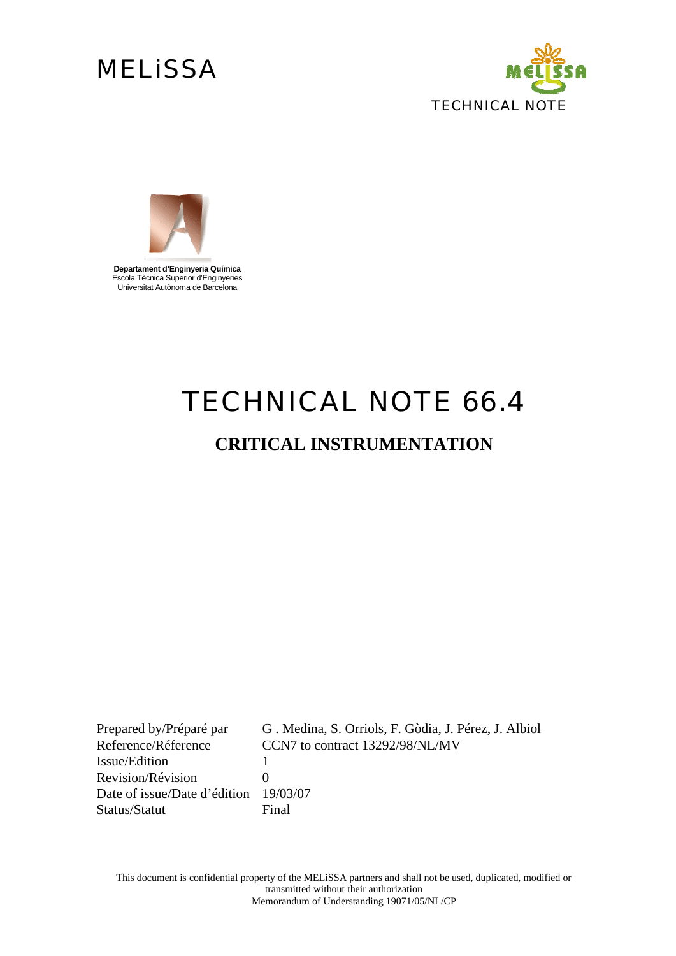# **MELISSA**





**Departament d'Enginyeria Química**  Escola Tècnica Superior d'Enginyeries Universitat Autònoma de Barcelona

# *TECHNICAL NOTE 66.4*

## **CRITICAL INSTRUMENTATION**

Prepared by/Préparé par G . Medina, S. Orriols, F. Gòdia, J. Pérez, J. Albiol Reference/Réference CCN7 to contract 13292/98/NL/MV Issue/Edition 1 Revision/Révision 0 Date of issue/Date d'édition 19/03/07 Status/Statut Final

This document is confidential property of the MELiSSA partners and shall not be used, duplicated, modified or transmitted without their authorization Memorandum of Understanding 19071/05/NL/CP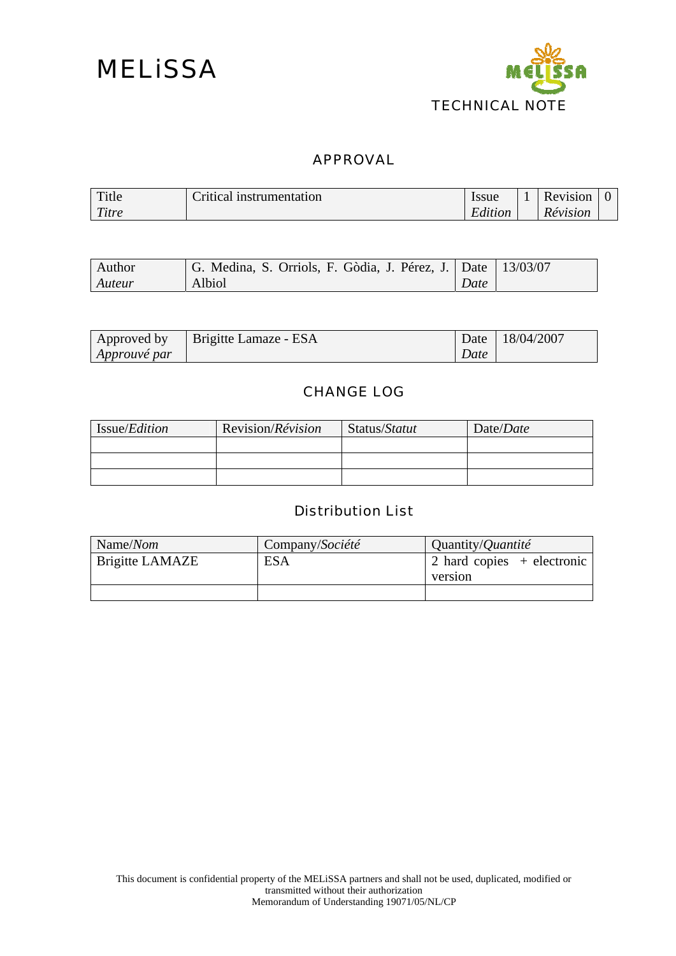

### APPROVAL

| Title | ritical instrumentation | Issue   | <b>Revision</b>        |  |
|-------|-------------------------|---------|------------------------|--|
| Titre |                         | Edition | <i><b>Révision</b></i> |  |

| Author | G. Medina, S. Orriols, F. Gòdia, J. Pérez, J.   Date   13/03/07 |      |  |
|--------|-----------------------------------------------------------------|------|--|
| Auteur | Albiol                                                          | Date |  |

| Approved by  | Brigitte Lamaze - ESA | Date | 18/04/2007 |
|--------------|-----------------------|------|------------|
| Approuvé par |                       | Date |            |

### CHANGE LOG

| Issue/ <i>Edition</i> | Revision/ <i>Révision</i> | Status/Statut | Date/ <i>Date</i> |
|-----------------------|---------------------------|---------------|-------------------|
|                       |                           |               |                   |
|                       |                           |               |                   |
|                       |                           |               |                   |

### Distribution List

| Name/Nom               | Company/Société | Quantity/ <i>Quantité</i>          |
|------------------------|-----------------|------------------------------------|
| <b>Brigitte LAMAZE</b> | <b>ESA</b>      | $\vert$ 2 hard copies + electronic |
|                        |                 | version                            |
|                        |                 |                                    |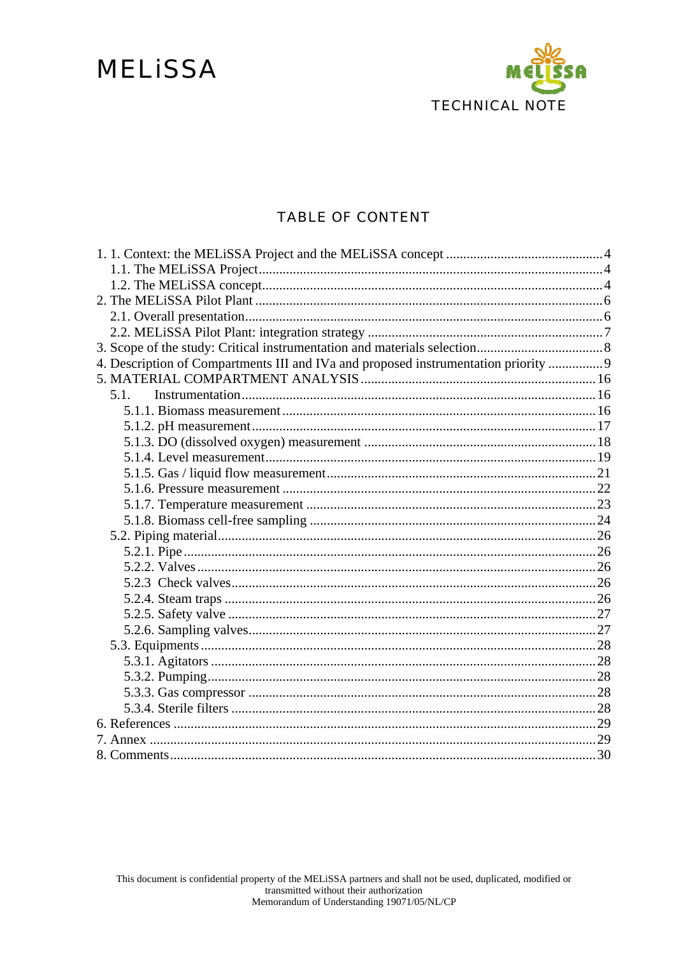# **MELISSA**



### **TABLE OF CONTENT**

| 4. Description of Compartments III and IVa and proposed instrumentation priority  9 |  |
|-------------------------------------------------------------------------------------|--|
|                                                                                     |  |
| 5.1.                                                                                |  |
|                                                                                     |  |
|                                                                                     |  |
|                                                                                     |  |
|                                                                                     |  |
|                                                                                     |  |
|                                                                                     |  |
|                                                                                     |  |
|                                                                                     |  |
|                                                                                     |  |
|                                                                                     |  |
|                                                                                     |  |
|                                                                                     |  |
|                                                                                     |  |
|                                                                                     |  |
|                                                                                     |  |
|                                                                                     |  |
|                                                                                     |  |
|                                                                                     |  |
|                                                                                     |  |
|                                                                                     |  |
|                                                                                     |  |
|                                                                                     |  |
|                                                                                     |  |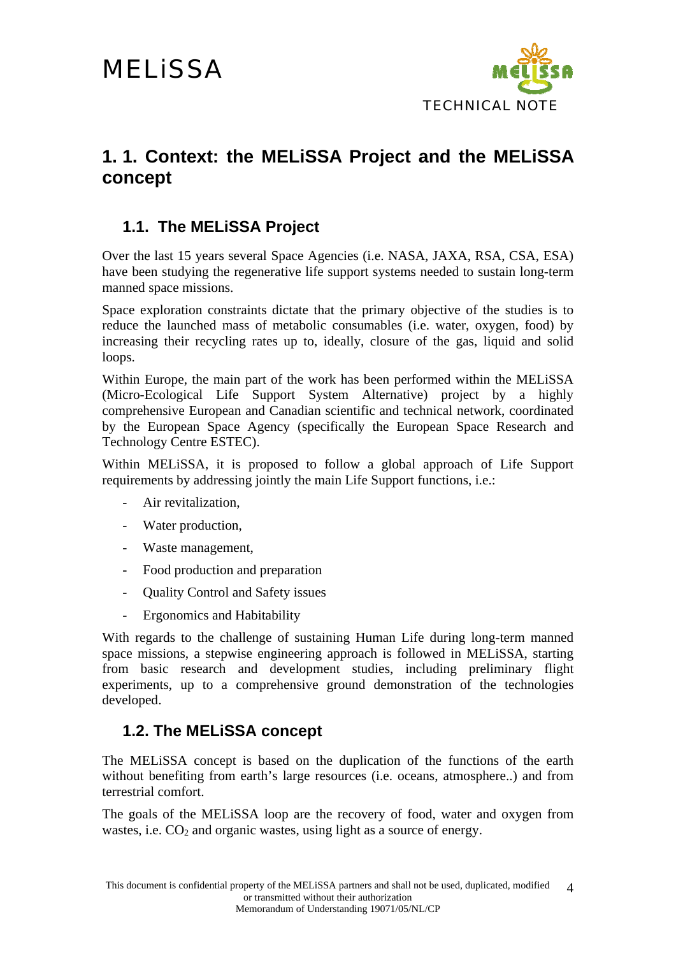

## **1. 1. Context: the MELiSSA Project and the MELiSSA concept**

## **1.1. The MELiSSA Project**

Over the last 15 years several Space Agencies (i.e. NASA, JAXA, RSA, CSA, ESA) have been studying the regenerative life support systems needed to sustain long-term manned space missions.

Space exploration constraints dictate that the primary objective of the studies is to reduce the launched mass of metabolic consumables (i.e. water, oxygen, food) by increasing their recycling rates up to, ideally, closure of the gas, liquid and solid loops.

Within Europe, the main part of the work has been performed within the MELiSSA (Micro-Ecological Life Support System Alternative) project by a highly comprehensive European and Canadian scientific and technical network, coordinated by the European Space Agency (specifically the European Space Research and Technology Centre ESTEC).

Within MELiSSA, it is proposed to follow a global approach of Life Support requirements by addressing jointly the main Life Support functions, i.e.:

- Air revitalization,
- Water production,
- Waste management,
- Food production and preparation
- Quality Control and Safety issues
- Ergonomics and Habitability

With regards to the challenge of sustaining Human Life during long-term manned space missions, a stepwise engineering approach is followed in MELiSSA, starting from basic research and development studies, including preliminary flight experiments, up to a comprehensive ground demonstration of the technologies developed.

### **1.2. The MELiSSA concept**

The MELiSSA concept is based on the duplication of the functions of the earth without benefiting from earth's large resources (i.e. oceans, atmosphere..) and from terrestrial comfort.

The goals of the MELiSSA loop are the recovery of food, water and oxygen from wastes, i.e.  $CO<sub>2</sub>$  and organic wastes, using light as a source of energy.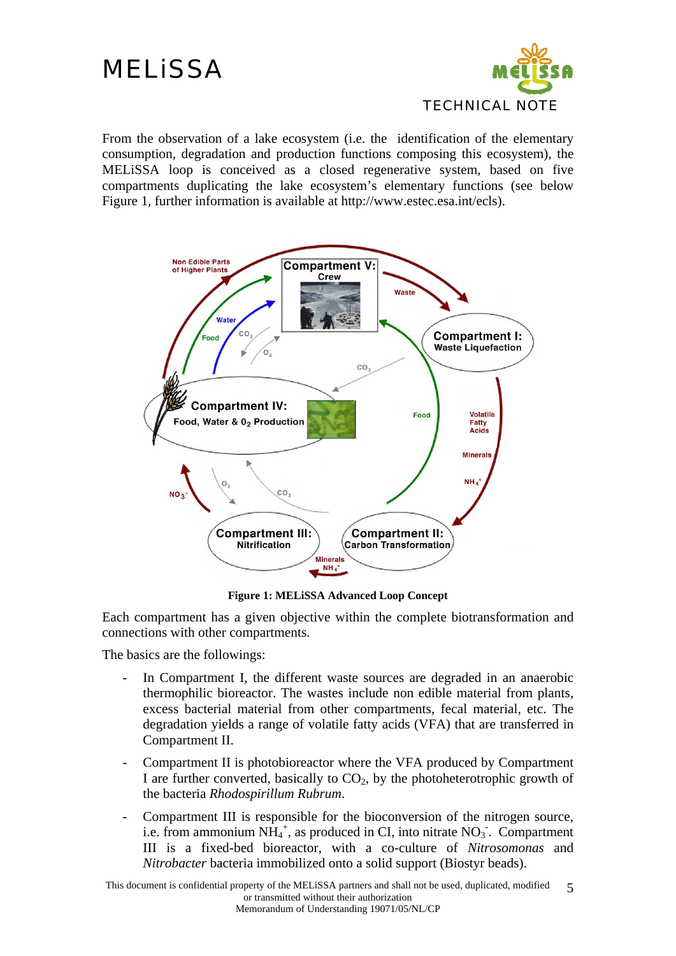

From the observation of a lake ecosystem (i.e. the identification of the elementary consumption, degradation and production functions composing this ecosystem), the MELiSSA loop is conceived as a closed regenerative system, based on five compartments duplicating the lake ecosystem's elementary functions (see below Figure 1, further information is available at http://www.estec.esa.int/ecls).



**Figure 1: MELiSSA Advanced Loop Concept** 

Each compartment has a given objective within the complete biotransformation and connections with other compartments.

The basics are the followings:

- In Compartment I, the different waste sources are degraded in an anaerobic thermophilic bioreactor. The wastes include non edible material from plants, excess bacterial material from other compartments, fecal material, etc. The degradation yields a range of volatile fatty acids (VFA) that are transferred in Compartment II.
- Compartment II is photobioreactor where the VFA produced by Compartment I are further converted, basically to  $CO<sub>2</sub>$ , by the photoheterotrophic growth of the bacteria *Rhodospirillum Rubrum*.
- Compartment III is responsible for the bioconversion of the nitrogen source, i.e. from ammonium  $NH_4^+$ , as produced in CI, into nitrate  $NO_3$ . Compartment III is a fixed-bed bioreactor, with a co-culture of *Nitrosomonas* and *Nitrobacter* bacteria immobilized onto a solid support (Biostyr beads).

This document is confidential property of the MELiSSA partners and shall not be used, duplicated, modified or transmitted without their authorization Memorandum of Understanding 19071/05/NL/CP 5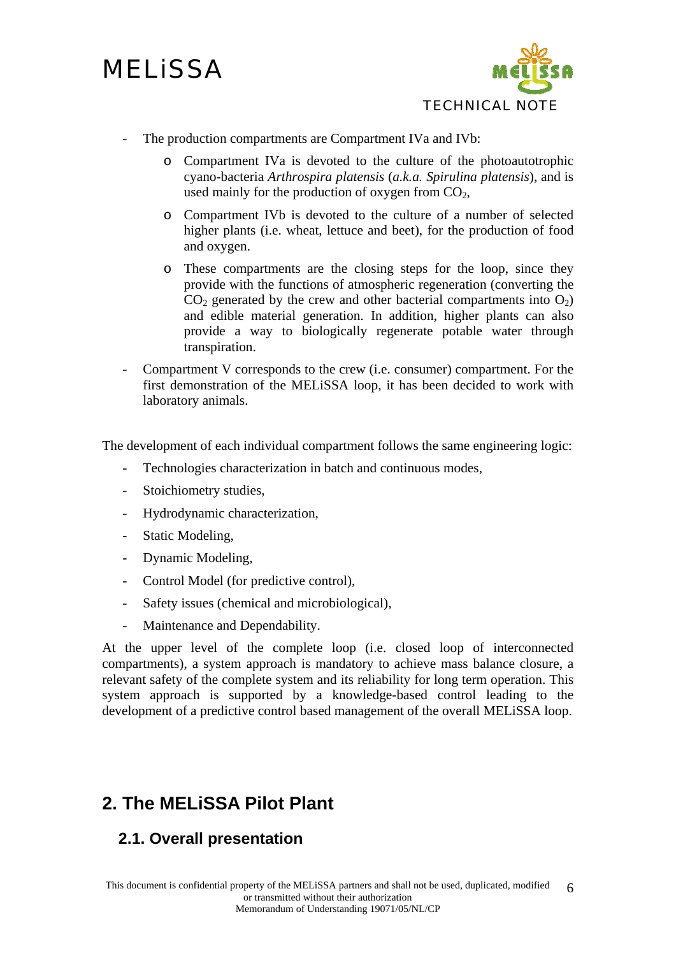

- The production compartments are Compartment IVa and IVb:
	- o Compartment IVa is devoted to the culture of the photoautotrophic cyano-bacteria *Arthrospira platensis* (*a.k.a. Spirulina platensis*), and is used mainly for the production of oxygen from  $CO<sub>2</sub>$ ,
	- o Compartment IVb is devoted to the culture of a number of selected higher plants (i.e. wheat, lettuce and beet), for the production of food and oxygen.
	- o These compartments are the closing steps for the loop, since they provide with the functions of atmospheric regeneration (converting the  $CO<sub>2</sub>$  generated by the crew and other bacterial compartments into  $O<sub>2</sub>$ ) and edible material generation. In addition, higher plants can also provide a way to biologically regenerate potable water through transpiration.
- Compartment V corresponds to the crew (i.e. consumer) compartment. For the first demonstration of the MELiSSA loop, it has been decided to work with laboratory animals.

The development of each individual compartment follows the same engineering logic:

- Technologies characterization in batch and continuous modes,
- Stoichiometry studies,
- Hydrodynamic characterization,
- Static Modeling,
- Dynamic Modeling,
- Control Model (for predictive control),
- Safety issues (chemical and microbiological),
- Maintenance and Dependability.

At the upper level of the complete loop (i.e. closed loop of interconnected compartments), a system approach is mandatory to achieve mass balance closure, a relevant safety of the complete system and its reliability for long term operation. This system approach is supported by a knowledge-based control leading to the development of a predictive control based management of the overall MELiSSA loop.

## **2. The MELiSSA Pilot Plant**

## **2.1. Overall presentation**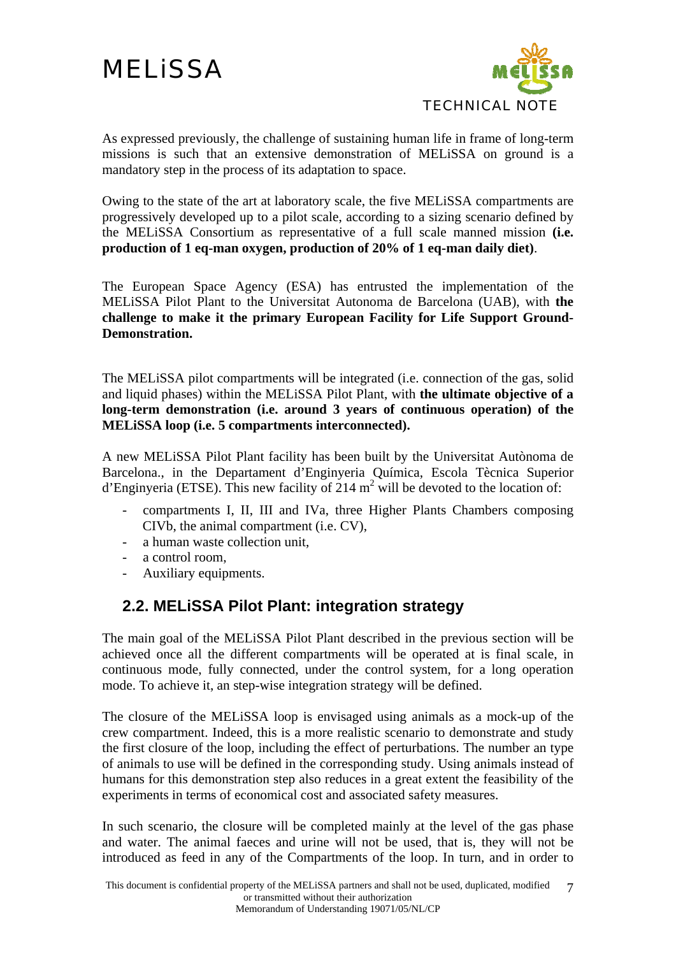

As expressed previously, the challenge of sustaining human life in frame of long-term missions is such that an extensive demonstration of MELiSSA on ground is a mandatory step in the process of its adaptation to space.

Owing to the state of the art at laboratory scale, the five MELiSSA compartments are progressively developed up to a pilot scale, according to a sizing scenario defined by the MELiSSA Consortium as representative of a full scale manned mission **(i.e. production of 1 eq-man oxygen, production of 20% of 1 eq-man daily diet)**.

The European Space Agency (ESA) has entrusted the implementation of the MELiSSA Pilot Plant to the Universitat Autonoma de Barcelona (UAB), with **the challenge to make it the primary European Facility for Life Support Ground-Demonstration.** 

The MELiSSA pilot compartments will be integrated (i.e. connection of the gas, solid and liquid phases) within the MELiSSA Pilot Plant, with **the ultimate objective of a long-term demonstration (i.e. around 3 years of continuous operation) of the MELiSSA loop (i.e. 5 compartments interconnected).** 

A new MELiSSA Pilot Plant facility has been built by the Universitat Autònoma de Barcelona., in the Departament d'Enginyeria Química, Escola Tècnica Superior d'Enginyeria (ETSE). This new facility of 214  $m^2$  will be devoted to the location of:

- compartments I, II, III and IVa, three Higher Plants Chambers composing CIVb, the animal compartment (i.e. CV),
- a human waste collection unit,
- a control room,
- Auxiliary equipments.

## **2.2. MELiSSA Pilot Plant: integration strategy**

The main goal of the MELiSSA Pilot Plant described in the previous section will be achieved once all the different compartments will be operated at is final scale, in continuous mode, fully connected, under the control system, for a long operation mode. To achieve it, an step-wise integration strategy will be defined.

The closure of the MELiSSA loop is envisaged using animals as a mock-up of the crew compartment. Indeed, this is a more realistic scenario to demonstrate and study the first closure of the loop, including the effect of perturbations. The number an type of animals to use will be defined in the corresponding study. Using animals instead of humans for this demonstration step also reduces in a great extent the feasibility of the experiments in terms of economical cost and associated safety measures.

In such scenario, the closure will be completed mainly at the level of the gas phase and water. The animal faeces and urine will not be used, that is, they will not be introduced as feed in any of the Compartments of the loop. In turn, and in order to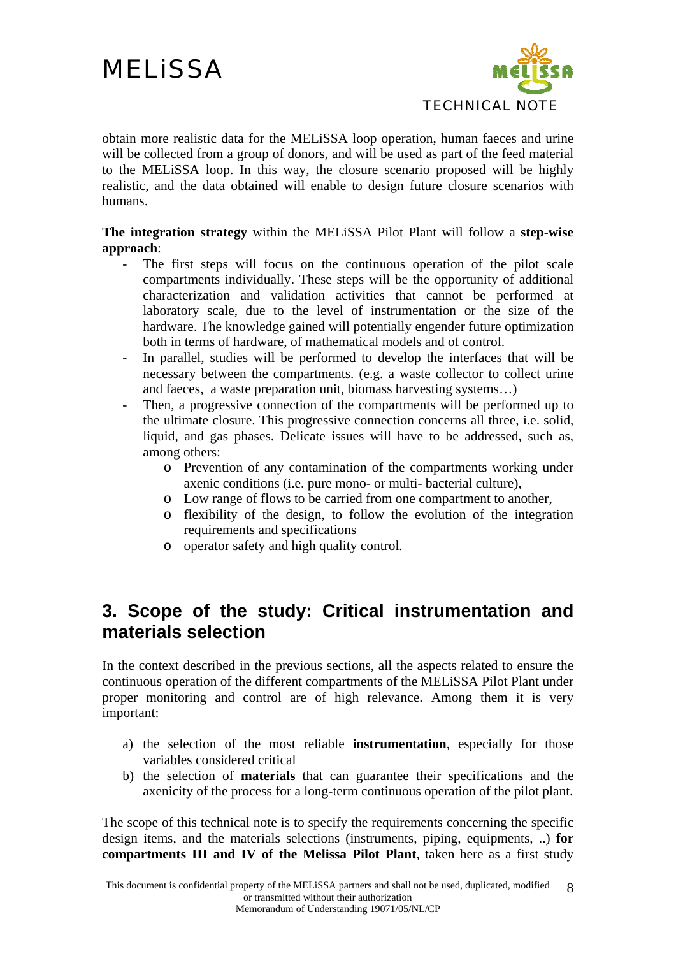

obtain more realistic data for the MELiSSA loop operation, human faeces and urine will be collected from a group of donors, and will be used as part of the feed material to the MELiSSA loop. In this way, the closure scenario proposed will be highly realistic, and the data obtained will enable to design future closure scenarios with humans.

### **The integration strategy** within the MELiSSA Pilot Plant will follow a **step-wise approach**:

- The first steps will focus on the continuous operation of the pilot scale compartments individually. These steps will be the opportunity of additional characterization and validation activities that cannot be performed at laboratory scale, due to the level of instrumentation or the size of the hardware. The knowledge gained will potentially engender future optimization both in terms of hardware, of mathematical models and of control.
- In parallel, studies will be performed to develop the interfaces that will be necessary between the compartments. (e.g. a waste collector to collect urine and faeces, a waste preparation unit, biomass harvesting systems…)
- Then, a progressive connection of the compartments will be performed up to the ultimate closure. This progressive connection concerns all three, i.e. solid, liquid, and gas phases. Delicate issues will have to be addressed, such as, among others:
	- o Prevention of any contamination of the compartments working under axenic conditions (i.e. pure mono- or multi- bacterial culture),
	- o Low range of flows to be carried from one compartment to another,
	- o flexibility of the design, to follow the evolution of the integration requirements and specifications
	- o operator safety and high quality control.

## **3. Scope of the study: Critical instrumentation and materials selection**

In the context described in the previous sections, all the aspects related to ensure the continuous operation of the different compartments of the MELiSSA Pilot Plant under proper monitoring and control are of high relevance. Among them it is very important:

- a) the selection of the most reliable **instrumentation**, especially for those variables considered critical
- b) the selection of **materials** that can guarantee their specifications and the axenicity of the process for a long-term continuous operation of the pilot plant.

The scope of this technical note is to specify the requirements concerning the specific design items, and the materials selections (instruments, piping, equipments, ..) **for compartments III and IV of the Melissa Pilot Plant**, taken here as a first study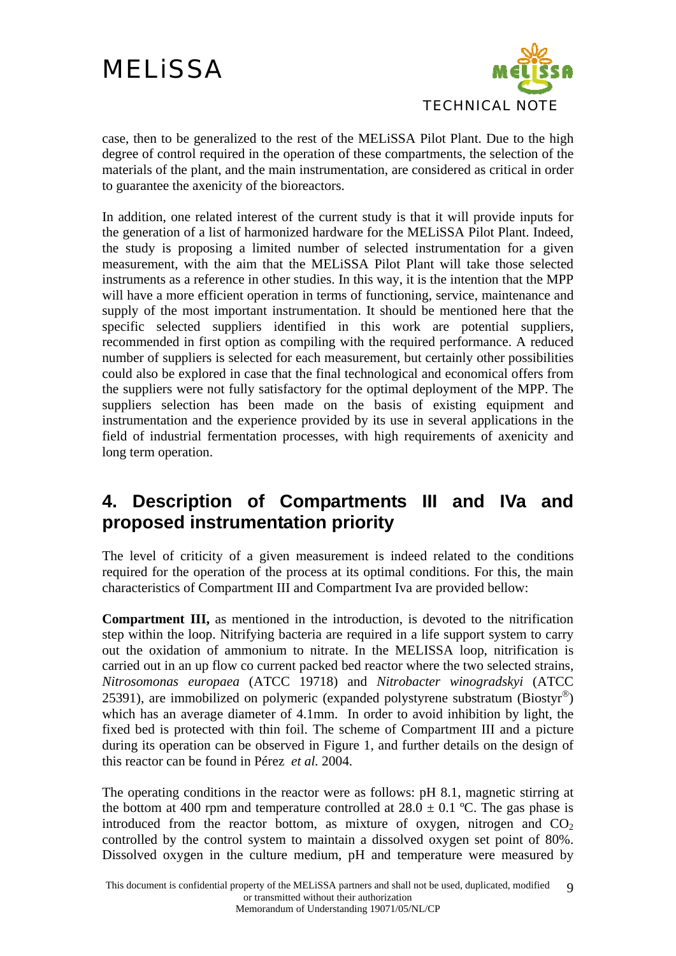

case, then to be generalized to the rest of the MELiSSA Pilot Plant. Due to the high degree of control required in the operation of these compartments, the selection of the materials of the plant, and the main instrumentation, are considered as critical in order to guarantee the axenicity of the bioreactors.

In addition, one related interest of the current study is that it will provide inputs for the generation of a list of harmonized hardware for the MELiSSA Pilot Plant. Indeed, the study is proposing a limited number of selected instrumentation for a given measurement, with the aim that the MELiSSA Pilot Plant will take those selected instruments as a reference in other studies. In this way, it is the intention that the MPP will have a more efficient operation in terms of functioning, service, maintenance and supply of the most important instrumentation. It should be mentioned here that the specific selected suppliers identified in this work are potential suppliers, recommended in first option as compiling with the required performance. A reduced number of suppliers is selected for each measurement, but certainly other possibilities could also be explored in case that the final technological and economical offers from the suppliers were not fully satisfactory for the optimal deployment of the MPP. The suppliers selection has been made on the basis of existing equipment and instrumentation and the experience provided by its use in several applications in the field of industrial fermentation processes, with high requirements of axenicity and long term operation.

## **4. Description of Compartments III and IVa and proposed instrumentation priority**

The level of criticity of a given measurement is indeed related to the conditions required for the operation of the process at its optimal conditions. For this, the main characteristics of Compartment III and Compartment Iva are provided bellow:

**Compartment III,** as mentioned in the introduction, is devoted to the nitrification step within the loop. Nitrifying bacteria are required in a life support system to carry out the oxidation of ammonium to nitrate. In the MELISSA loop, nitrification is carried out in an up flow co current packed bed reactor where the two selected strains, *Nitrosomonas europaea* (ATCC 19718) and *Nitrobacter winogradskyi* (ATCC 25391), are immobilized on polymeric (expanded polystyrene substratum (Biostyr®) which has an average diameter of 4.1mm. In order to avoid inhibition by light, the fixed bed is protected with thin foil. The scheme of Compartment III and a picture during its operation can be observed in Figure 1, and further details on the design of this reactor can be found in Pérez *et al.* 2004.

The operating conditions in the reactor were as follows: pH 8.1, magnetic stirring at the bottom at 400 rpm and temperature controlled at  $28.0 \pm 0.1$  °C. The gas phase is introduced from the reactor bottom, as mixture of oxygen, nitrogen and  $CO<sub>2</sub>$ controlled by the control system to maintain a dissolved oxygen set point of 80%. Dissolved oxygen in the culture medium, pH and temperature were measured by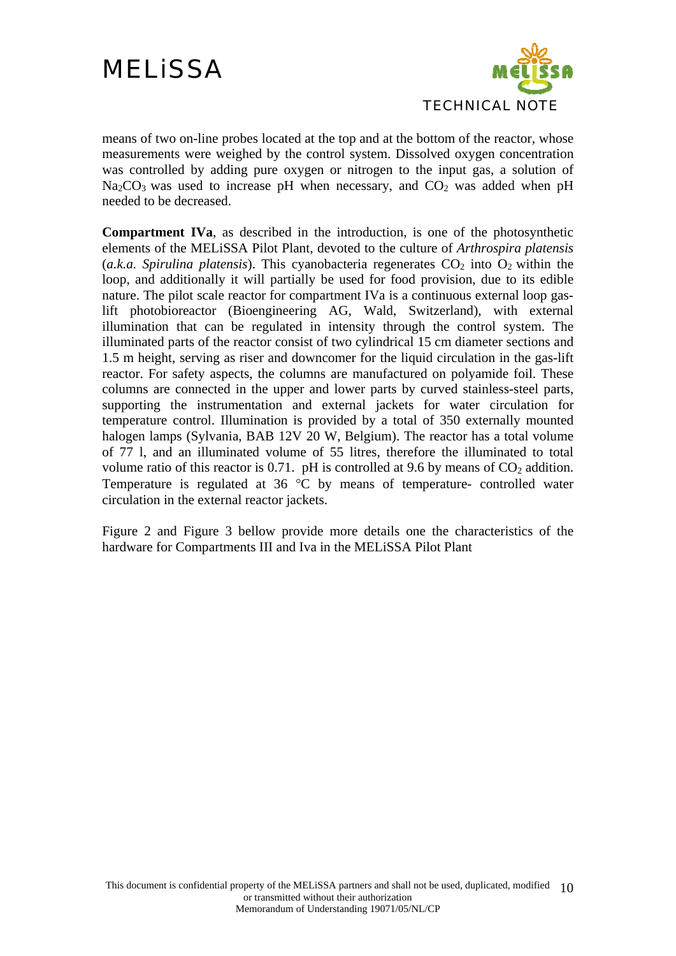

means of two on-line probes located at the top and at the bottom of the reactor, whose measurements were weighed by the control system. Dissolved oxygen concentration was controlled by adding pure oxygen or nitrogen to the input gas, a solution of  $Na<sub>2</sub>CO<sub>3</sub>$  was used to increase pH when necessary, and  $CO<sub>2</sub>$  was added when pH needed to be decreased.

**Compartment IVa**, as described in the introduction, is one of the photosynthetic elements of the MELiSSA Pilot Plant, devoted to the culture of *Arthrospira platensis* (*a.k.a. Spirulina platensis*). This cyanobacteria regenerates  $CO<sub>2</sub>$  into  $O<sub>2</sub>$  within the loop, and additionally it will partially be used for food provision, due to its edible nature. The pilot scale reactor for compartment IVa is a continuous external loop gaslift photobioreactor (Bioengineering AG, Wald, Switzerland), with external illumination that can be regulated in intensity through the control system. The illuminated parts of the reactor consist of two cylindrical 15 cm diameter sections and 1.5 m height, serving as riser and downcomer for the liquid circulation in the gas-lift reactor. For safety aspects, the columns are manufactured on polyamide foil. These columns are connected in the upper and lower parts by curved stainless-steel parts, supporting the instrumentation and external jackets for water circulation for temperature control. Illumination is provided by a total of 350 externally mounted halogen lamps (Sylvania, BAB 12V 20 W, Belgium). The reactor has a total volume of 77 l, and an illuminated volume of 55 litres, therefore the illuminated to total volume ratio of this reactor is 0.71. pH is controlled at 9.6 by means of  $CO<sub>2</sub>$  addition. Temperature is regulated at 36 °C by means of temperature- controlled water circulation in the external reactor jackets.

Figure 2 and Figure 3 bellow provide more details one the characteristics of the hardware for Compartments III and Iva in the MELiSSA Pilot Plant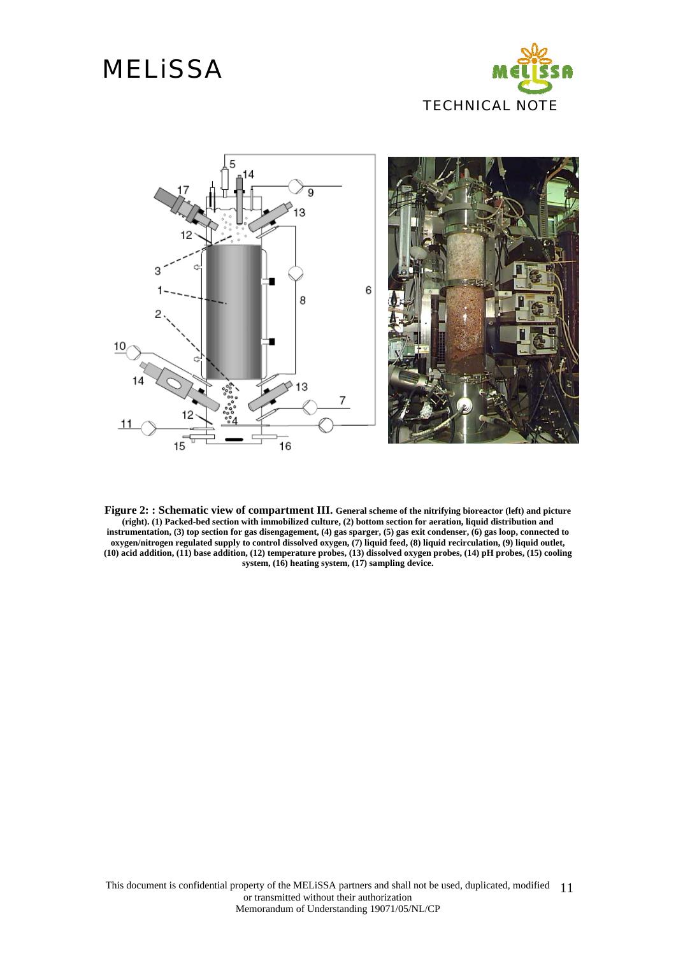



**Figure 2: : Schematic view of compartment III. General scheme of the nitrifying bioreactor (left) and picture (right). (1) Packed-bed section with immobilized culture, (2) bottom section for aeration, liquid distribution and instrumentation, (3) top section for gas disengagement, (4) gas sparger, (5) gas exit condenser, (6) gas loop, connected to oxygen/nitrogen regulated supply to control dissolved oxygen, (7) liquid feed, (8) liquid recirculation, (9) liquid outlet, (10) acid addition, (11) base addition, (12) temperature probes, (13) dissolved oxygen probes, (14) pH probes, (15) cooling system, (16) heating system, (17) sampling device.**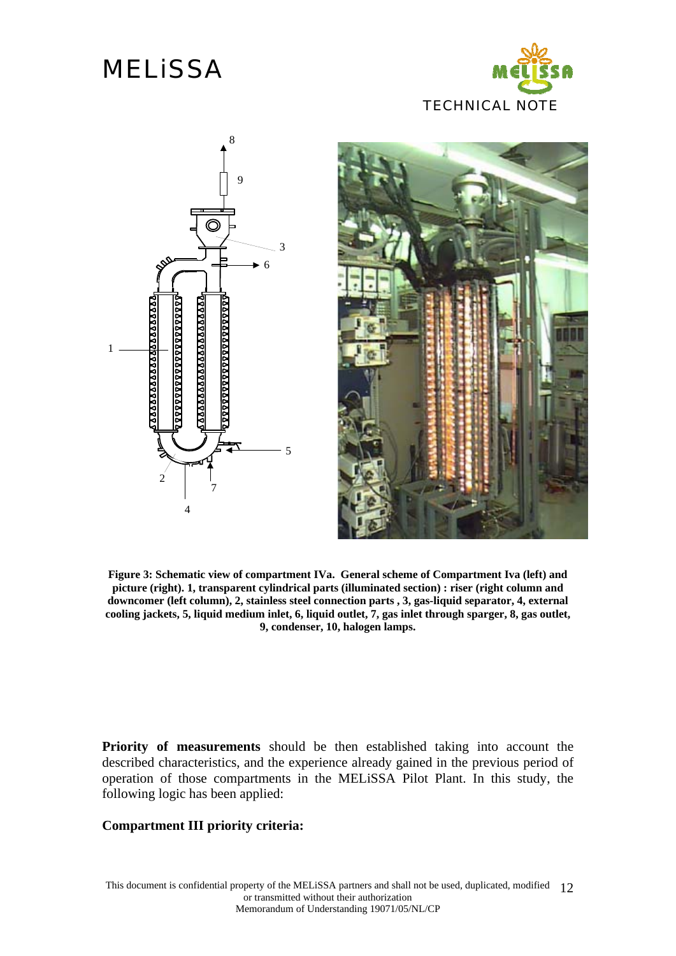# **MELISSA**





**Figure 3: Schematic view of compartment IVa. General scheme of Compartment Iva (left) and picture (right). 1, transparent cylindrical parts (illuminated section) : riser (right column and downcomer (left column), 2, stainless steel connection parts , 3, gas-liquid separator, 4, external cooling jackets, 5, liquid medium inlet, 6, liquid outlet, 7, gas inlet through sparger, 8, gas outlet, 9, condenser, 10, halogen lamps.** 

**Priority of measurements** should be then established taking into account the described characteristics, and the experience already gained in the previous period of operation of those compartments in the MELiSSA Pilot Plant. In this study, the following logic has been applied:

#### **Compartment III priority criteria:**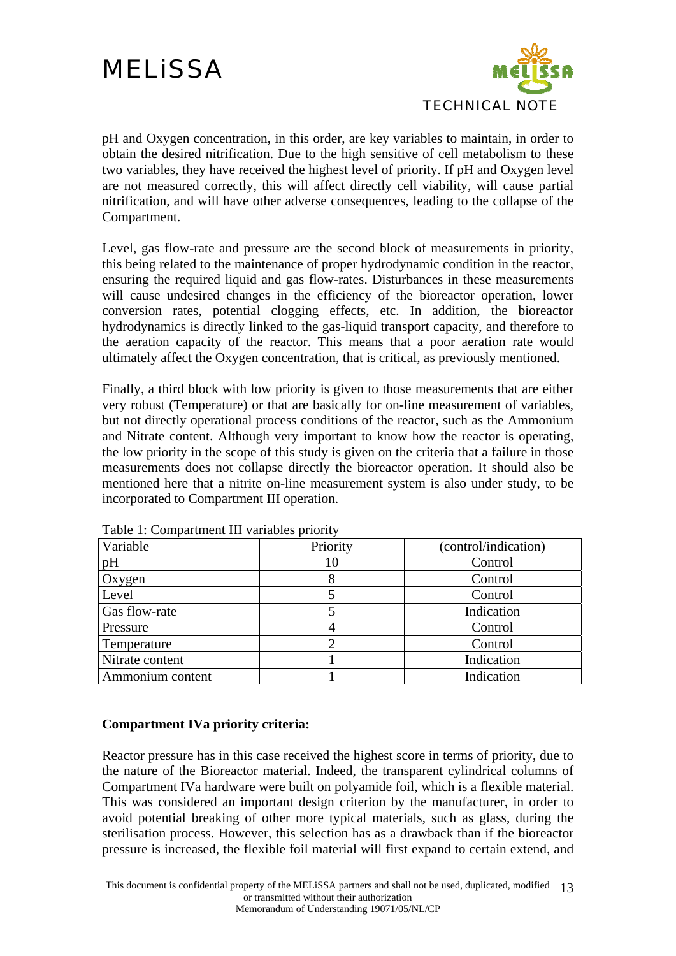

pH and Oxygen concentration, in this order, are key variables to maintain, in order to obtain the desired nitrification. Due to the high sensitive of cell metabolism to these two variables, they have received the highest level of priority. If pH and Oxygen level are not measured correctly, this will affect directly cell viability, will cause partial nitrification, and will have other adverse consequences, leading to the collapse of the Compartment.

Level, gas flow-rate and pressure are the second block of measurements in priority, this being related to the maintenance of proper hydrodynamic condition in the reactor, ensuring the required liquid and gas flow-rates. Disturbances in these measurements will cause undesired changes in the efficiency of the bioreactor operation, lower conversion rates, potential clogging effects, etc. In addition, the bioreactor hydrodynamics is directly linked to the gas-liquid transport capacity, and therefore to the aeration capacity of the reactor. This means that a poor aeration rate would ultimately affect the Oxygen concentration, that is critical, as previously mentioned.

Finally, a third block with low priority is given to those measurements that are either very robust (Temperature) or that are basically for on-line measurement of variables, but not directly operational process conditions of the reactor, such as the Ammonium and Nitrate content. Although very important to know how the reactor is operating, the low priority in the scope of this study is given on the criteria that a failure in those measurements does not collapse directly the bioreactor operation. It should also be mentioned here that a nitrite on-line measurement system is also under study, to be incorporated to Compartment III operation.

| Variable             | Priority | (control/indication) |
|----------------------|----------|----------------------|
| pH                   | 10       | Control              |
| Oxygen               |          | Control              |
| Level                |          | Control              |
| <b>Gas flow-rate</b> |          | Indication           |
| Pressure             |          | Control              |
| Temperature          |          | Control              |
| Nitrate content      |          | Indication           |
| Ammonium content     |          | Indication           |

Table 1: Compartment III variables priority

#### **Compartment IVa priority criteria:**

Reactor pressure has in this case received the highest score in terms of priority, due to the nature of the Bioreactor material. Indeed, the transparent cylindrical columns of Compartment IVa hardware were built on polyamide foil, which is a flexible material. This was considered an important design criterion by the manufacturer, in order to avoid potential breaking of other more typical materials, such as glass, during the sterilisation process. However, this selection has as a drawback than if the bioreactor pressure is increased, the flexible foil material will first expand to certain extend, and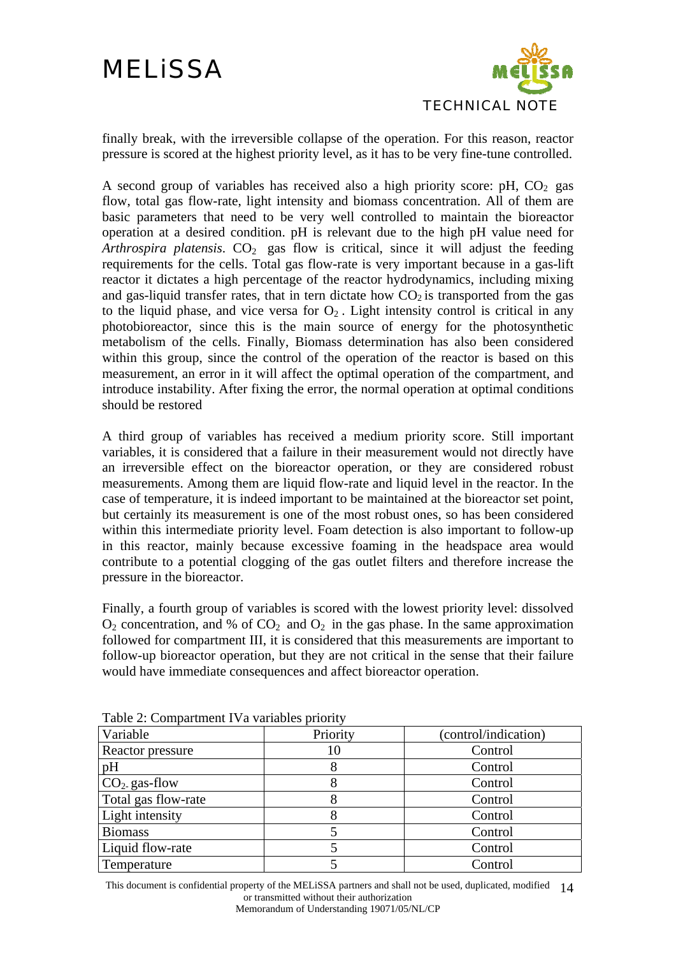

finally break, with the irreversible collapse of the operation. For this reason, reactor pressure is scored at the highest priority level, as it has to be very fine-tune controlled.

A second group of variables has received also a high priority score: pH,  $CO<sub>2</sub>$  gas flow, total gas flow-rate, light intensity and biomass concentration. All of them are basic parameters that need to be very well controlled to maintain the bioreactor operation at a desired condition. pH is relevant due to the high pH value need for *Arthrospira platensis*.  $CO<sub>2</sub>$  gas flow is critical, since it will adjust the feeding requirements for the cells. Total gas flow-rate is very important because in a gas-lift reactor it dictates a high percentage of the reactor hydrodynamics, including mixing and gas-liquid transfer rates, that in tern dictate how  $CO<sub>2</sub>$  is transported from the gas to the liquid phase, and vice versa for  $O_2$ . Light intensity control is critical in any photobioreactor, since this is the main source of energy for the photosynthetic metabolism of the cells. Finally, Biomass determination has also been considered within this group, since the control of the operation of the reactor is based on this measurement, an error in it will affect the optimal operation of the compartment, and introduce instability. After fixing the error, the normal operation at optimal conditions should be restored

A third group of variables has received a medium priority score. Still important variables, it is considered that a failure in their measurement would not directly have an irreversible effect on the bioreactor operation, or they are considered robust measurements. Among them are liquid flow-rate and liquid level in the reactor. In the case of temperature, it is indeed important to be maintained at the bioreactor set point, but certainly its measurement is one of the most robust ones, so has been considered within this intermediate priority level. Foam detection is also important to follow-up in this reactor, mainly because excessive foaming in the headspace area would contribute to a potential clogging of the gas outlet filters and therefore increase the pressure in the bioreactor.

Finally, a fourth group of variables is scored with the lowest priority level: dissolved  $O_2$  concentration, and % of  $CO_2$  and  $O_2$  in the gas phase. In the same approximation followed for compartment III, it is considered that this measurements are important to follow-up bioreactor operation, but they are not critical in the sense that their failure would have immediate consequences and affect bioreactor operation.

| Variable               | Priority | (control/indication) |
|------------------------|----------|----------------------|
| Reactor pressure       | 10       | Control              |
| pH                     |          | Control              |
| $CO2$ gas-flow         |          | Control              |
| Total gas flow-rate    |          | Control              |
| <b>Light intensity</b> |          | Control              |
| <b>Biomass</b>         |          | Control              |
| Liquid flow-rate       |          | Control              |
| Temperature            |          | Control              |

Table 2: Compartment IVa variables priority

This document is confidential property of the MELISSA partners and shall not be used, duplicated, modified 14 or transmitted without their authorization Memorandum of Understanding 19071/05/NL/CP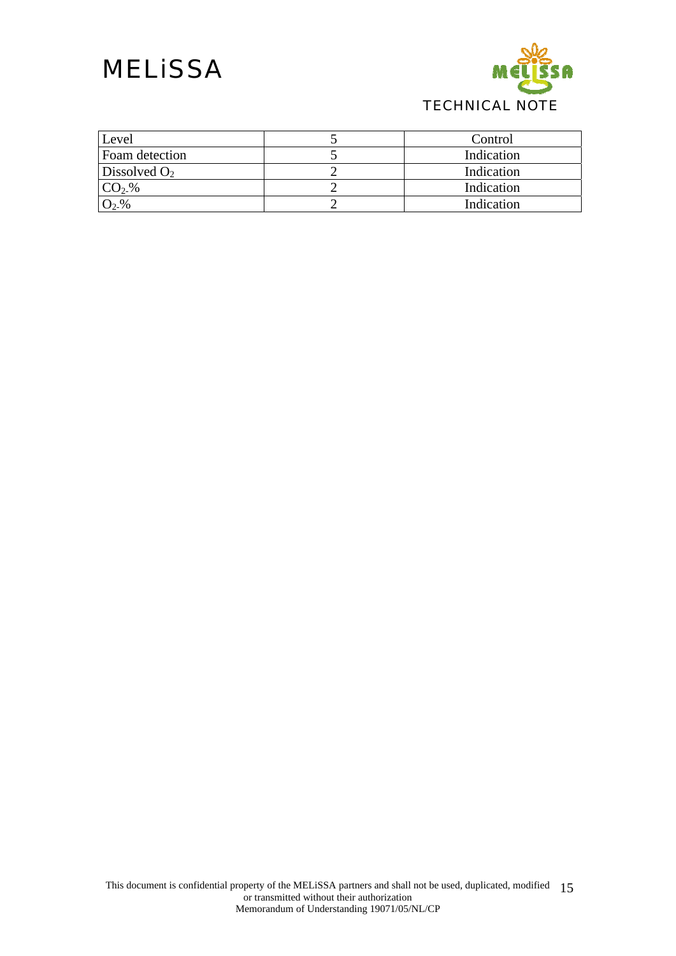

| Level          | Control    |
|----------------|------------|
| Foam detection | Indication |
| Dissolved $O2$ | Indication |
| $CO2$ %        | Indication |
| $O_2$ -%       | Indication |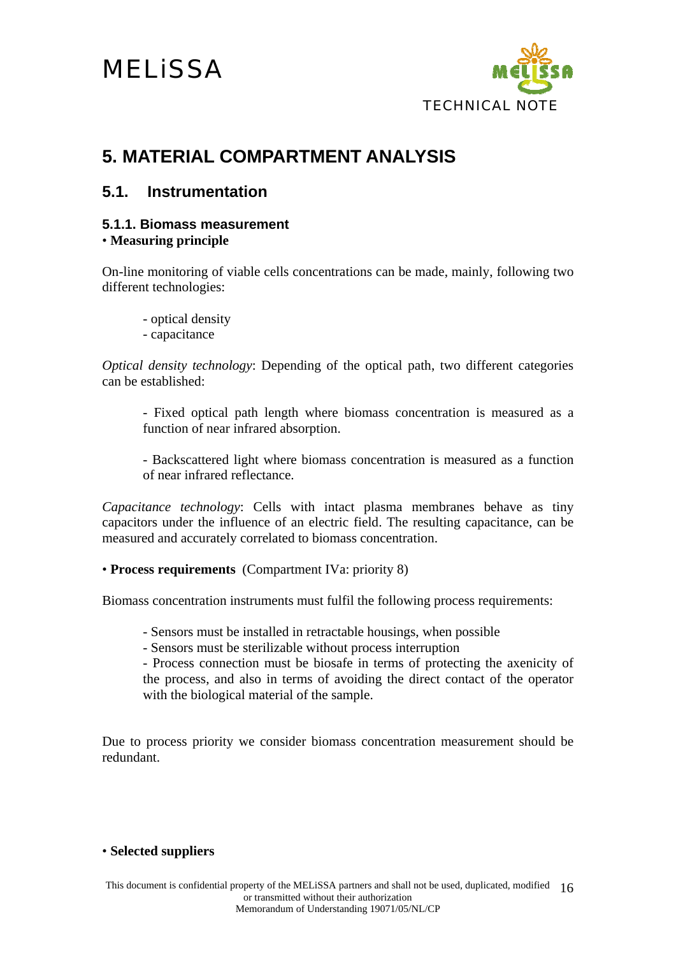

## **5. MATERIAL COMPARTMENT ANALYSIS**

### **5.1. Instrumentation**

### **5.1.1. Biomass measurement**

• **Measuring principle**

On-line monitoring of viable cells concentrations can be made, mainly, following two different technologies:

- optical density
- capacitance

*Optical density technology*: Depending of the optical path, two different categories can be established:

- Fixed optical path length where biomass concentration is measured as a function of near infrared absorption.

- Backscattered light where biomass concentration is measured as a function of near infrared reflectance.

*Capacitance technology*: Cells with intact plasma membranes behave as tiny capacitors under the influence of an electric field. The resulting capacitance, can be measured and accurately correlated to biomass concentration.

• **Process requirements** (Compartment IVa: priority 8)

Biomass concentration instruments must fulfil the following process requirements:

- Sensors must be installed in retractable housings, when possible
- Sensors must be sterilizable without process interruption

- Process connection must be biosafe in terms of protecting the axenicity of the process, and also in terms of avoiding the direct contact of the operator with the biological material of the sample.

Due to process priority we consider biomass concentration measurement should be redundant.

### • **Selected suppliers**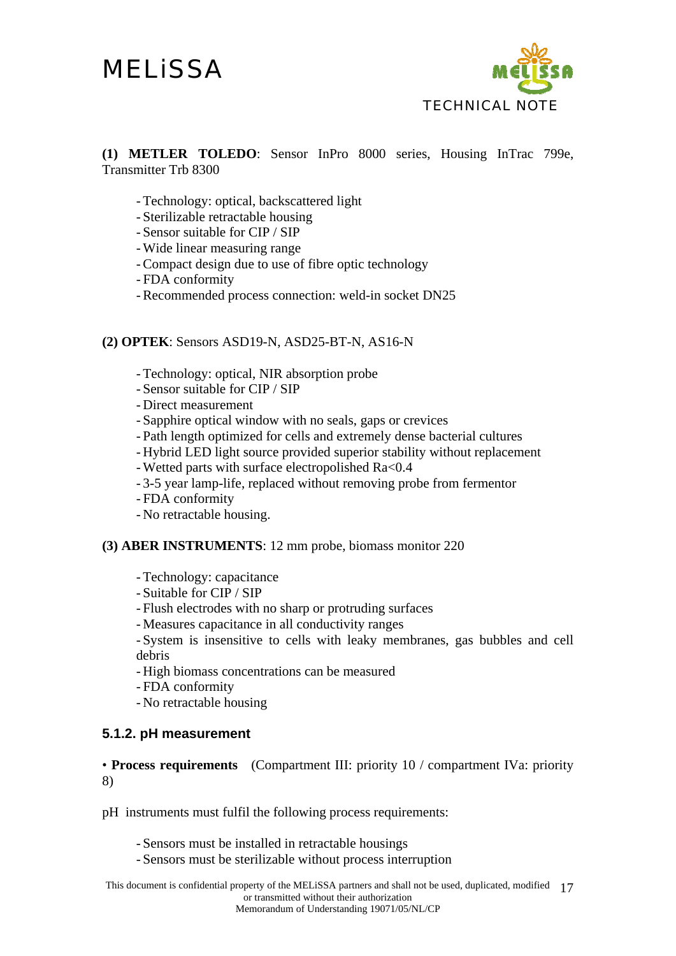

**(1) METLER TOLEDO**: Sensor InPro 8000 series, Housing InTrac 799e, Transmitter Trb 8300

- Technology: optical, backscattered light
- Sterilizable retractable housing
- Sensor suitable for CIP / SIP
- Wide linear measuring range
- Compact design due to use of fibre optic technology
- FDA conformity
- Recommended process connection: weld-in socket DN25

#### **(2) OPTEK**: Sensors ASD19-N, ASD25-BT-N, AS16-N

- Technology: optical, NIR absorption probe
- Sensor suitable for CIP / SIP
- Direct measurement
- Sapphire optical window with no seals, gaps or crevices
- Path length optimized for cells and extremely dense bacterial cultures
- Hybrid LED light source provided superior stability without replacement
- Wetted parts with surface electropolished Ra<0.4
- 3-5 year lamp-life, replaced without removing probe from fermentor
- FDA conformity
- No retractable housing.

#### **(3) ABER INSTRUMENTS**: 12 mm probe, biomass monitor 220

- Technology: capacitance
- Suitable for CIP / SIP
- Flush electrodes with no sharp or protruding surfaces
- Measures capacitance in all conductivity ranges
- System is insensitive to cells with leaky membranes, gas bubbles and cell debris
- High biomass concentrations can be measured
- FDA conformity
- No retractable housing

### **5.1.2. pH measurement**

• **Process requirements** (Compartment III: priority 10 / compartment IVa: priority 8)

pH instruments must fulfil the following process requirements:

- Sensors must be installed in retractable housings
- Sensors must be sterilizable without process interruption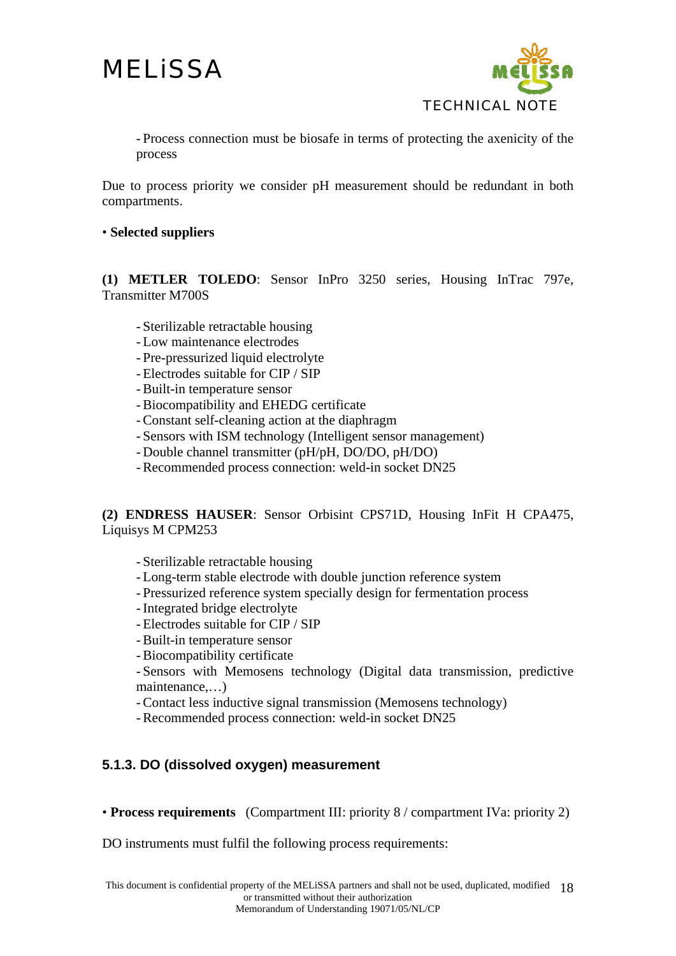

- Process connection must be biosafe in terms of protecting the axenicity of the process

Due to process priority we consider pH measurement should be redundant in both compartments.

#### • **Selected suppliers**

**(1) METLER TOLEDO**: Sensor InPro 3250 series, Housing InTrac 797e, Transmitter M700S

- Sterilizable retractable housing
- Low maintenance electrodes
- Pre-pressurized liquid electrolyte
- Electrodes suitable for CIP / SIP
- Built-in temperature sensor
- Biocompatibility and EHEDG certificate
- Constant self-cleaning action at the diaphragm
- Sensors with ISM technology (Intelligent sensor management)
- Double channel transmitter (pH/pH, DO/DO, pH/DO)
- Recommended process connection: weld-in socket DN25

**(2) ENDRESS HAUSER**: Sensor Orbisint CPS71D, Housing InFit H CPA475, Liquisys M CPM253

- Sterilizable retractable housing

- Long-term stable electrode with double junction reference system
- Pressurized reference system specially design for fermentation process
- Integrated bridge electrolyte
- Electrodes suitable for CIP / SIP
- Built-in temperature sensor
- Biocompatibility certificate

- Sensors with Memosens technology (Digital data transmission, predictive maintenance,…)

- Contact less inductive signal transmission (Memosens technology)

- Recommended process connection: weld-in socket DN25

### **5.1.3. DO (dissolved oxygen) measurement**

• **Process requirements** (Compartment III: priority 8 / compartment IVa: priority 2)

DO instruments must fulfil the following process requirements: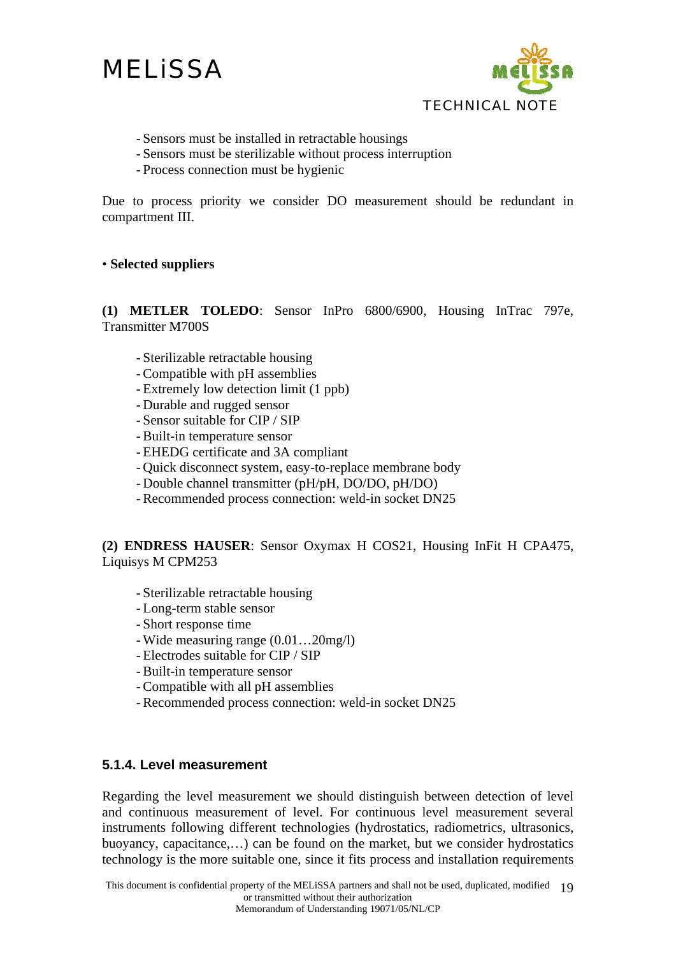

- Sensors must be installed in retractable housings
- Sensors must be sterilizable without process interruption
- Process connection must be hygienic

Due to process priority we consider DO measurement should be redundant in compartment III.

#### • **Selected suppliers**

**(1) METLER TOLEDO**: Sensor InPro 6800/6900, Housing InTrac 797e, Transmitter M700S

- Sterilizable retractable housing
- Compatible with pH assemblies
- Extremely low detection limit (1 ppb)
- Durable and rugged sensor
- Sensor suitable for CIP / SIP
- Built-in temperature sensor
- EHEDG certificate and 3A compliant
- Quick disconnect system, easy-to-replace membrane body
- Double channel transmitter (pH/pH, DO/DO, pH/DO)
- Recommended process connection: weld-in socket DN25

**(2) ENDRESS HAUSER**: Sensor Oxymax H COS21, Housing InFit H CPA475, Liquisys M CPM253

- Sterilizable retractable housing
- Long-term stable sensor
- Short response time
- Wide measuring range (0.01…20mg/l)
- Electrodes suitable for CIP / SIP
- Built-in temperature sensor
- Compatible with all pH assemblies
- Recommended process connection: weld-in socket DN25

#### **5.1.4. Level measurement**

Regarding the level measurement we should distinguish between detection of level and continuous measurement of level. For continuous level measurement several instruments following different technologies (hydrostatics, radiometrics, ultrasonics, buoyancy, capacitance,…) can be found on the market, but we consider hydrostatics technology is the more suitable one, since it fits process and installation requirements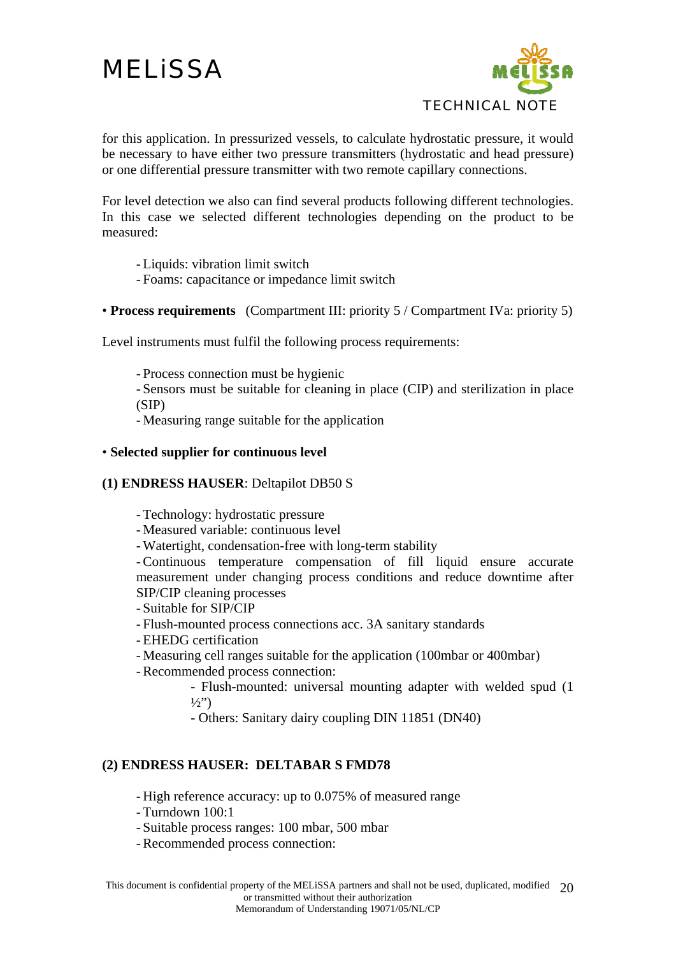

for this application. In pressurized vessels, to calculate hydrostatic pressure, it would be necessary to have either two pressure transmitters (hydrostatic and head pressure) or one differential pressure transmitter with two remote capillary connections.

For level detection we also can find several products following different technologies. In this case we selected different technologies depending on the product to be measured:

- Liquids: vibration limit switch

- Foams: capacitance or impedance limit switch

• **Process requirements** (Compartment III: priority 5 / Compartment IVa: priority 5)

Level instruments must fulfil the following process requirements:

- Process connection must be hygienic

- Sensors must be suitable for cleaning in place (CIP) and sterilization in place (SIP)

- Measuring range suitable for the application

#### • **Selected supplier for continuous level**

### **(1) ENDRESS HAUSER**: Deltapilot DB50 S

- Technology: hydrostatic pressure

- Measured variable: continuous level
- Watertight, condensation-free with long-term stability

- Continuous temperature compensation of fill liquid ensure accurate measurement under changing process conditions and reduce downtime after SIP/CIP cleaning processes

- Suitable for SIP/CIP
- Flush-mounted process connections acc. 3A sanitary standards
- EHEDG certification
- Measuring cell ranges suitable for the application (100mbar or 400mbar)
- Recommended process connection:

- Flush-mounted: universal mounting adapter with welded spud (1  $\frac{1}{2}$ ")

- Others: Sanitary dairy coupling DIN 11851 (DN40)

#### **(2) ENDRESS HAUSER: DELTABAR S FMD78**

- High reference accuracy: up to 0.075% of measured range

- Turndown 100:1

- Suitable process ranges: 100 mbar, 500 mbar

- Recommended process connection: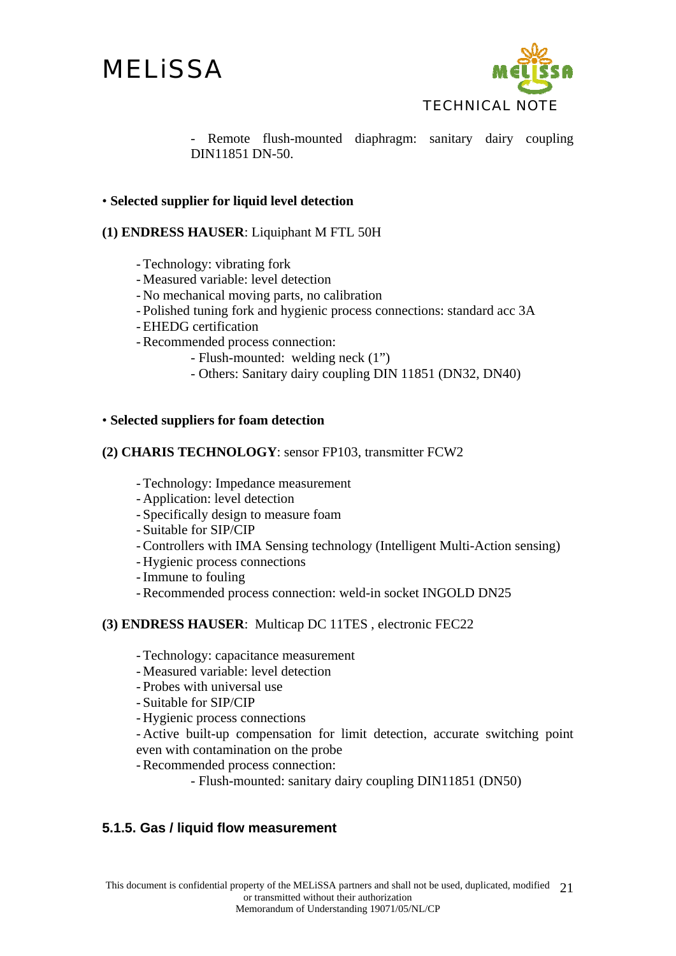



- Remote flush-mounted diaphragm: sanitary dairy coupling DIN11851 DN-50.

#### • **Selected supplier for liquid level detection**

#### **(1) ENDRESS HAUSER**: Liquiphant M FTL 50H

- Technology: vibrating fork
- Measured variable: level detection
- No mechanical moving parts, no calibration
- Polished tuning fork and hygienic process connections: standard acc 3A
- EHEDG certification
- Recommended process connection:
	- Flush-mounted: welding neck (1")
	- Others: Sanitary dairy coupling DIN 11851 (DN32, DN40)

#### • **Selected suppliers for foam detection**

#### **(2) CHARIS TECHNOLOGY**: sensor FP103, transmitter FCW2

- Technology: Impedance measurement
- Application: level detection
- Specifically design to measure foam
- Suitable for SIP/CIP
- Controllers with IMA Sensing technology (Intelligent Multi-Action sensing)
- Hygienic process connections
- Immune to fouling
- Recommended process connection: weld-in socket INGOLD DN25

#### **(3) ENDRESS HAUSER**: Multicap DC 11TES , electronic FEC22

- Technology: capacitance measurement
- Measured variable: level detection
- Probes with universal use
- Suitable for SIP/CIP
- Hygienic process connections
- Active built-up compensation for limit detection, accurate switching point even with contamination on the probe
- Recommended process connection:
	- Flush-mounted: sanitary dairy coupling DIN11851 (DN50)

#### **5.1.5. Gas / liquid flow measurement**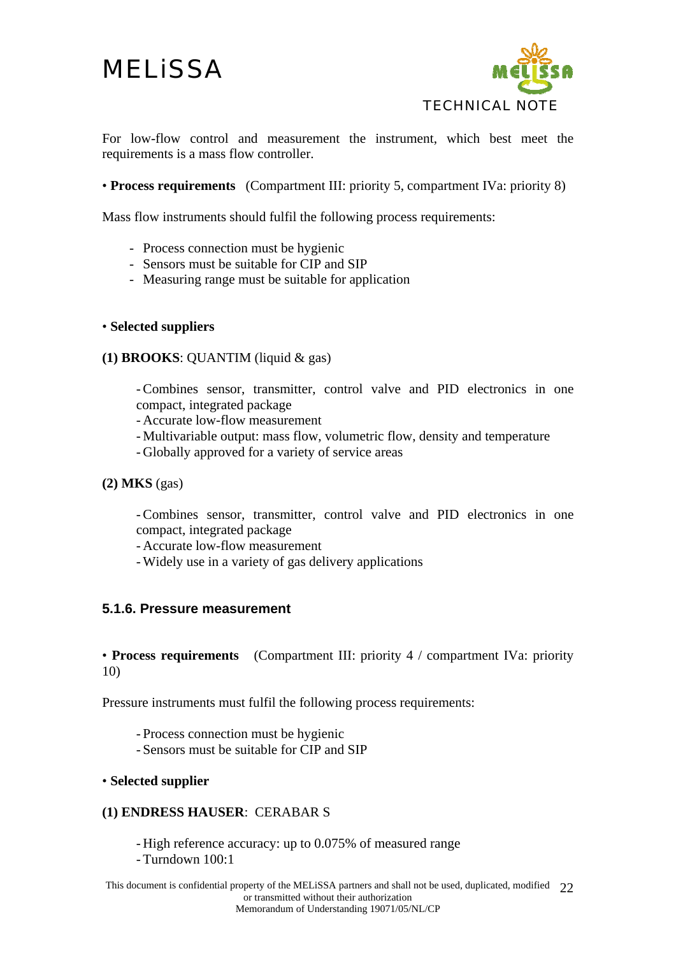

For low-flow control and measurement the instrument, which best meet the requirements is a mass flow controller.

• **Process requirements** (Compartment III: priority 5, compartment IVa: priority 8)

Mass flow instruments should fulfil the following process requirements:

- Process connection must be hygienic
- Sensors must be suitable for CIP and SIP
- Measuring range must be suitable for application

#### • **Selected suppliers**

#### **(1) BROOKS**: QUANTIM (liquid & gas)

- Combines sensor, transmitter, control valve and PID electronics in one compact, integrated package

- Accurate low-flow measurement

- Multivariable output: mass flow, volumetric flow, density and temperature
- Globally approved for a variety of service areas
- **(2) MKS** (gas)

- Combines sensor, transmitter, control valve and PID electronics in one compact, integrated package

- Accurate low-flow measurement

- Widely use in a variety of gas delivery applications

### **5.1.6. Pressure measurement**

• **Process requirements** (Compartment III: priority 4 / compartment IVa: priority 10)

Pressure instruments must fulfil the following process requirements:

- Process connection must be hygienic
- Sensors must be suitable for CIP and SIP

### • **Selected supplier**

### **(1) ENDRESS HAUSER**: CERABAR S

- High reference accuracy: up to 0.075% of measured range

- Turndown 100:1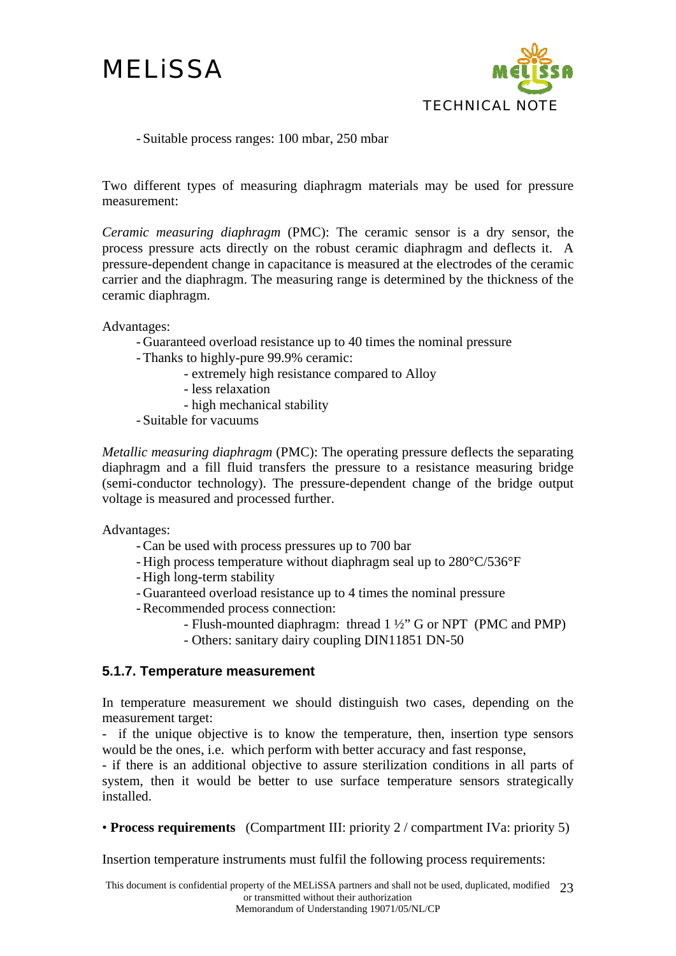

- Suitable process ranges: 100 mbar, 250 mbar

Two different types of measuring diaphragm materials may be used for pressure measurement:

*Ceramic measuring diaphragm* (PMC): The ceramic sensor is a dry sensor, the process pressure acts directly on the robust ceramic diaphragm and deflects it. A pressure-dependent change in capacitance is measured at the electrodes of the ceramic carrier and the diaphragm. The measuring range is determined by the thickness of the ceramic diaphragm.

Advantages:

- Guaranteed overload resistance up to 40 times the nominal pressure
- Thanks to highly-pure 99.9% ceramic:
	- extremely high resistance compared to Alloy
		- less relaxation
		- high mechanical stability
- Suitable for vacuums

*Metallic measuring diaphragm* (PMC): The operating pressure deflects the separating diaphragm and a fill fluid transfers the pressure to a resistance measuring bridge (semi-conductor technology). The pressure-dependent change of the bridge output voltage is measured and processed further.

Advantages:

- Can be used with process pressures up to 700 bar
- High process temperature without diaphragm seal up to 280°C/536°F
- High long-term stability
- Guaranteed overload resistance up to 4 times the nominal pressure
- Recommended process connection:
	- Flush-mounted diaphragm: thread 1 ½" G or NPT (PMC and PMP)
	- Others: sanitary dairy coupling DIN11851 DN-50

### **5.1.7. Temperature measurement**

In temperature measurement we should distinguish two cases, depending on the measurement target:

- if the unique objective is to know the temperature, then, insertion type sensors would be the ones, i.e. which perform with better accuracy and fast response,

- if there is an additional objective to assure sterilization conditions in all parts of system, then it would be better to use surface temperature sensors strategically installed.

• **Process requirements** (Compartment III: priority 2 / compartment IVa: priority 5)

Insertion temperature instruments must fulfil the following process requirements: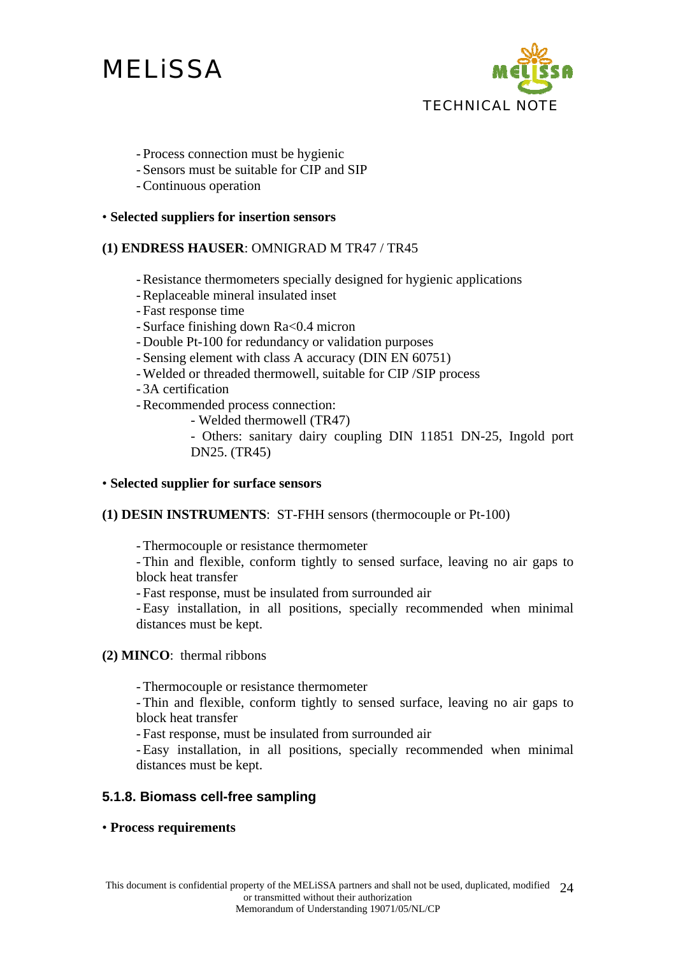

- Process connection must be hygienic
- Sensors must be suitable for CIP and SIP
- Continuous operation

#### • **Selected suppliers for insertion sensors**

#### **(1) ENDRESS HAUSER**: OMNIGRAD M TR47 / TR45

- Resistance thermometers specially designed for hygienic applications
- Replaceable mineral insulated inset
- Fast response time
- Surface finishing down Ra<0.4 micron
- Double Pt-100 for redundancy or validation purposes
- Sensing element with class A accuracy (DIN EN 60751)
- Welded or threaded thermowell, suitable for CIP /SIP process
- 3A certification
- Recommended process connection:
	- Welded thermowell (TR47)
	- Others: sanitary dairy coupling DIN 11851 DN-25, Ingold port DN25. (TR45)

#### • **Selected supplier for surface sensors**

#### **(1) DESIN INSTRUMENTS**: ST-FHH sensors (thermocouple or Pt-100)

- Thermocouple or resistance thermometer

- Thin and flexible, conform tightly to sensed surface, leaving no air gaps to block heat transfer

- Fast response, must be insulated from surrounded air

- Easy installation, in all positions, specially recommended when minimal distances must be kept.

**(2) MINCO**: thermal ribbons

- Thermocouple or resistance thermometer

- Thin and flexible, conform tightly to sensed surface, leaving no air gaps to block heat transfer

- Fast response, must be insulated from surrounded air

- Easy installation, in all positions, specially recommended when minimal distances must be kept.

### **5.1.8. Biomass cell-free sampling**

### • **Process requirements**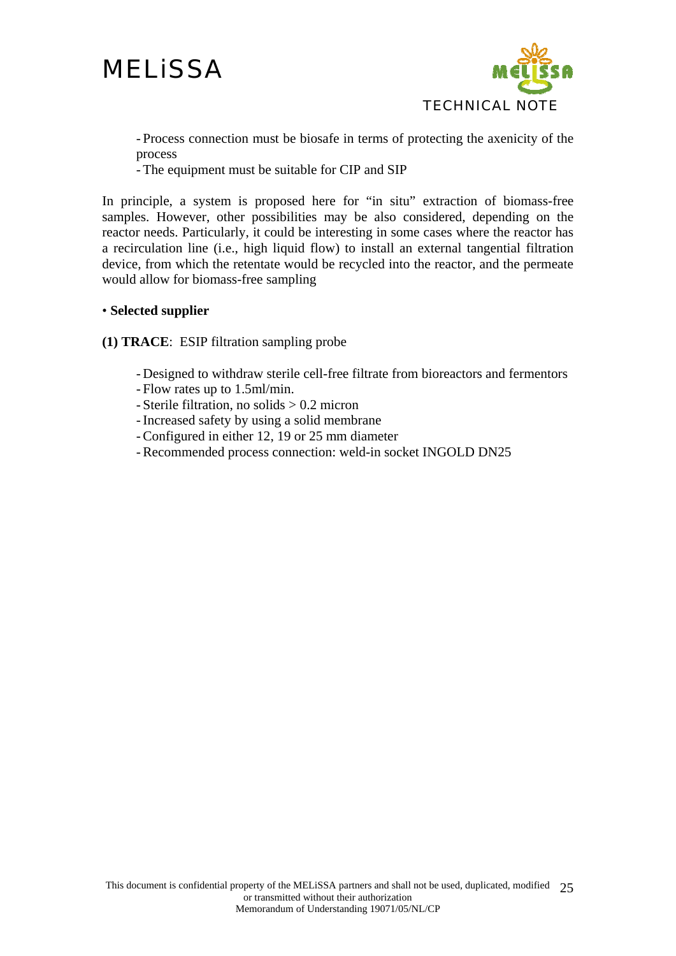

- Process connection must be biosafe in terms of protecting the axenicity of the process

- The equipment must be suitable for CIP and SIP

In principle, a system is proposed here for "in situ" extraction of biomass-free samples. However, other possibilities may be also considered, depending on the reactor needs. Particularly, it could be interesting in some cases where the reactor has a recirculation line (i.e., high liquid flow) to install an external tangential filtration device, from which the retentate would be recycled into the reactor, and the permeate would allow for biomass-free sampling

#### • **Selected supplier**

**(1) TRACE**: ESIP filtration sampling probe

- Designed to withdraw sterile cell-free filtrate from bioreactors and fermentors
- Flow rates up to 1.5ml/min.
- Sterile filtration, no solids > 0.2 micron
- Increased safety by using a solid membrane
- Configured in either 12, 19 or 25 mm diameter
- Recommended process connection: weld-in socket INGOLD DN25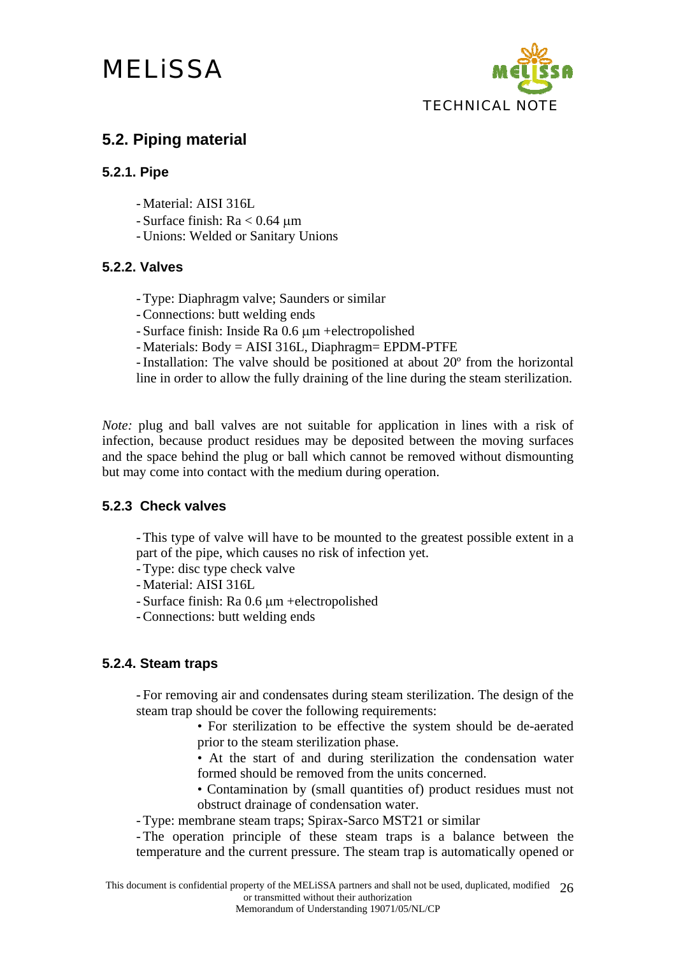

## **5.2. Piping material**

### **5.2.1. Pipe**

- Material: AISI 316L
- Surface finish: Ra < 0.64 μm
- Unions: Welded or Sanitary Unions

### **5.2.2. Valves**

- Type: Diaphragm valve; Saunders or similar
- Connections: butt welding ends
- Surface finish: Inside Ra 0.6 μm +electropolished
- Materials: Body = AISI 316L, Diaphragm= EPDM-PTFE

- Installation: The valve should be positioned at about 20º from the horizontal line in order to allow the fully draining of the line during the steam sterilization.

*Note:* plug and ball valves are not suitable for application in lines with a risk of infection, because product residues may be deposited between the moving surfaces and the space behind the plug or ball which cannot be removed without dismounting but may come into contact with the medium during operation.

### **5.2.3 Check valves**

- This type of valve will have to be mounted to the greatest possible extent in a part of the pipe, which causes no risk of infection yet.

- Type: disc type check valve
- Material: AISI 316L
- Surface finish: Ra 0.6 μm +electropolished
- Connections: butt welding ends

### **5.2.4. Steam traps**

- For removing air and condensates during steam sterilization. The design of the steam trap should be cover the following requirements:

- For sterilization to be effective the system should be de-aerated prior to the steam sterilization phase.
- At the start of and during sterilization the condensation water formed should be removed from the units concerned.

• Contamination by (small quantities of) product residues must not obstruct drainage of condensation water.

- Type: membrane steam traps; Spirax-Sarco MST21 or similar

- The operation principle of these steam traps is a balance between the temperature and the current pressure. The steam trap is automatically opened or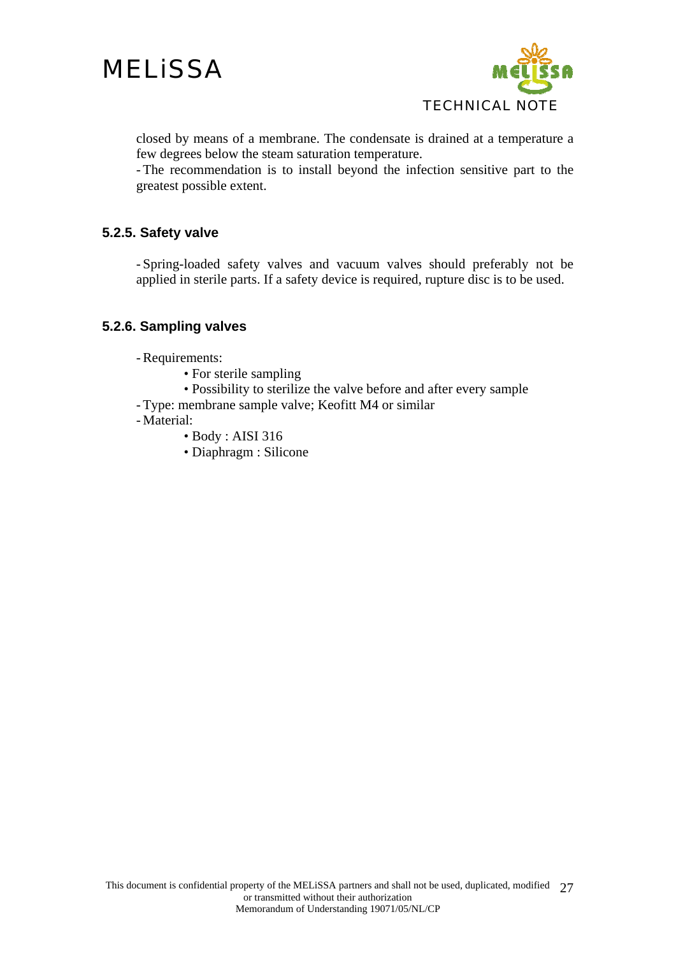

closed by means of a membrane. The condensate is drained at a temperature a few degrees below the steam saturation temperature.

- The recommendation is to install beyond the infection sensitive part to the greatest possible extent.

### **5.2.5. Safety valve**

- Spring-loaded safety valves and vacuum valves should preferably not be applied in sterile parts. If a safety device is required, rupture disc is to be used.

### **5.2.6. Sampling valves**

- Requirements:

- For sterile sampling
- Possibility to sterilize the valve before and after every sample
- Type: membrane sample valve; Keofitt M4 or similar
- Material:
	- Body : AISI 316
	- Diaphragm : Silicone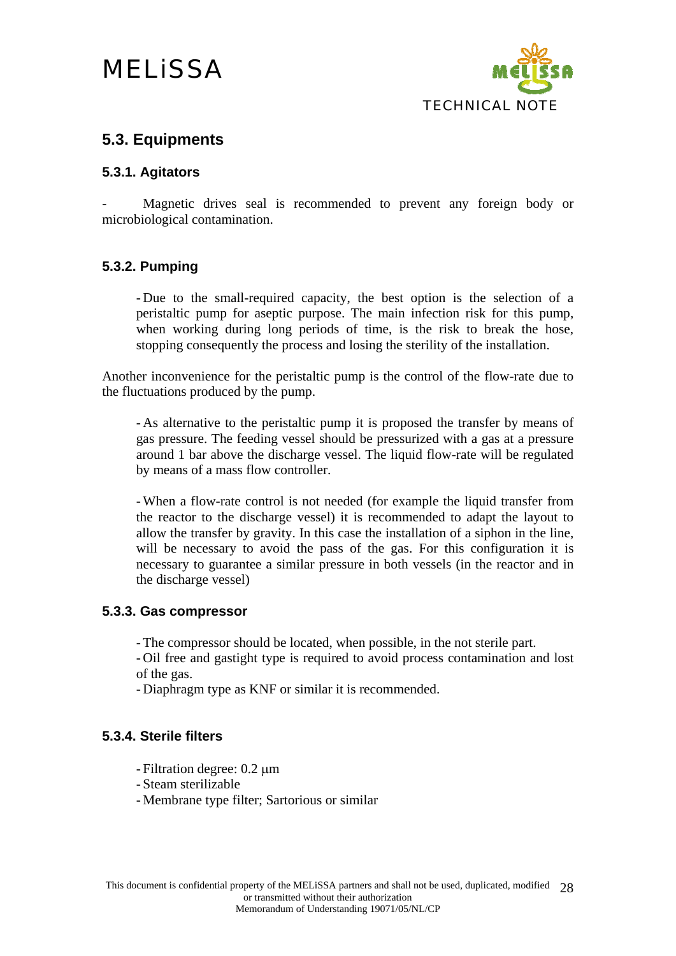

## **5.3. Equipments**

### **5.3.1. Agitators**

Magnetic drives seal is recommended to prevent any foreign body or microbiological contamination.

### **5.3.2. Pumping**

- Due to the small-required capacity, the best option is the selection of a peristaltic pump for aseptic purpose. The main infection risk for this pump, when working during long periods of time, is the risk to break the hose, stopping consequently the process and losing the sterility of the installation.

Another inconvenience for the peristaltic pump is the control of the flow-rate due to the fluctuations produced by the pump.

- As alternative to the peristaltic pump it is proposed the transfer by means of gas pressure. The feeding vessel should be pressurized with a gas at a pressure around 1 bar above the discharge vessel. The liquid flow-rate will be regulated by means of a mass flow controller.

- When a flow-rate control is not needed (for example the liquid transfer from the reactor to the discharge vessel) it is recommended to adapt the layout to allow the transfer by gravity. In this case the installation of a siphon in the line, will be necessary to avoid the pass of the gas. For this configuration it is necessary to guarantee a similar pressure in both vessels (in the reactor and in the discharge vessel)

### **5.3.3. Gas compressor**

- The compressor should be located, when possible, in the not sterile part.

- Oil free and gastight type is required to avoid process contamination and lost of the gas.

- Diaphragm type as KNF or similar it is recommended.

### **5.3.4. Sterile filters**

- Filtration degree: 0.2 μm
- Steam sterilizable
- Membrane type filter; Sartorious or similar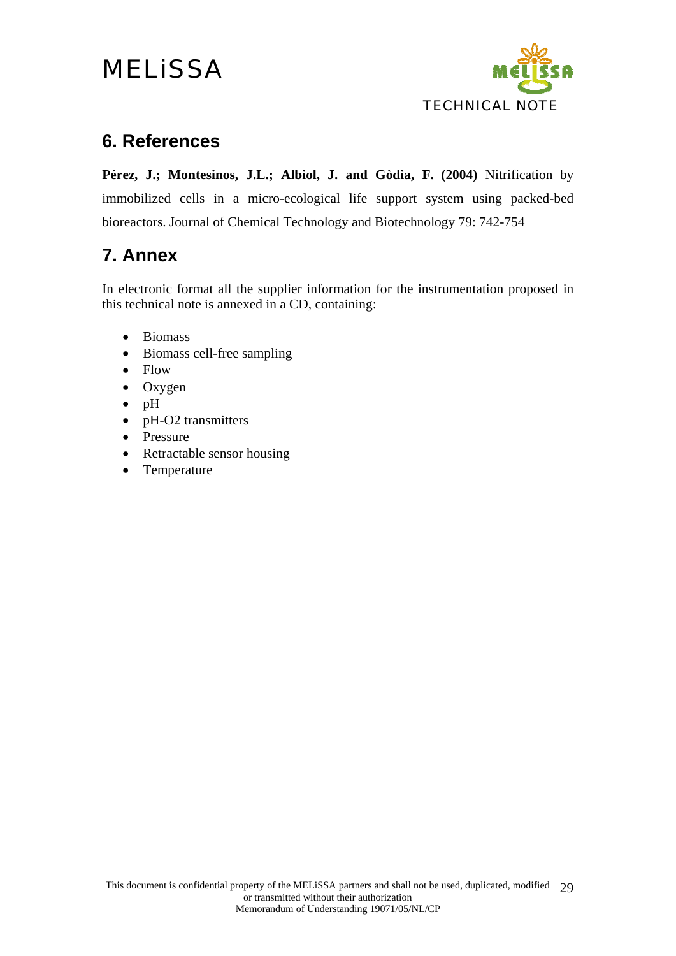

## **6. References**

**Pérez, J.; Montesinos, J.L.; Albiol, J. and Gòdia, F. (2004)** Nitrification by immobilized cells in a micro-ecological life support system using packed-bed bioreactors. Journal of Chemical Technology and Biotechnology 79: 742-754

## **7. Annex**

In electronic format all the supplier information for the instrumentation proposed in this technical note is annexed in a CD, containing:

- Biomass
- Biomass cell-free sampling
- Flow
- Oxygen
- pH
- pH-O2 transmitters
- Pressure
- Retractable sensor housing
- Temperature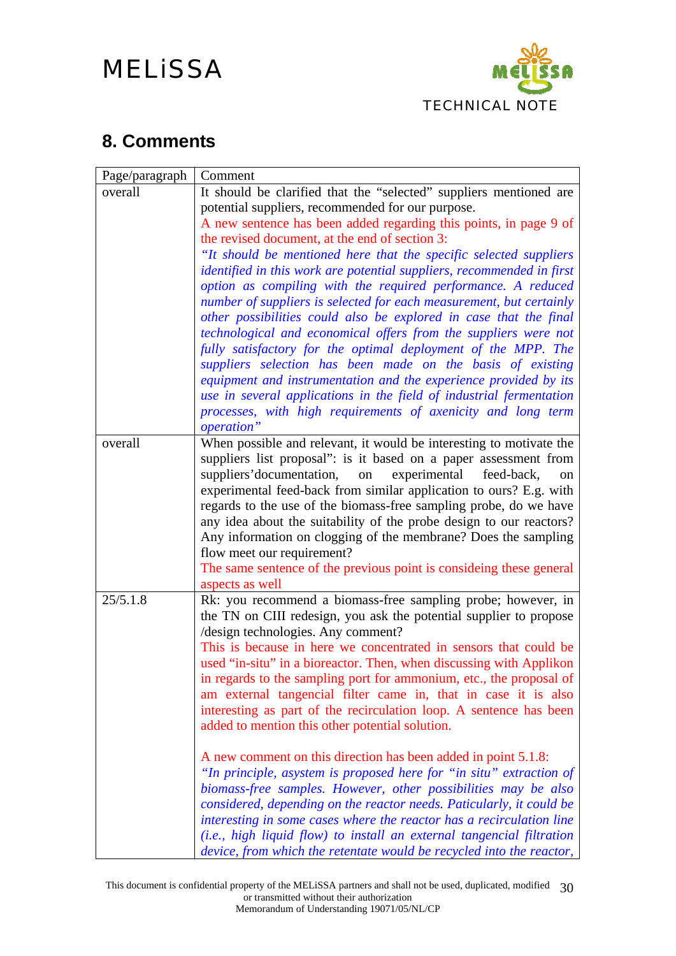

## **8. Comments**

| It should be clarified that the "selected" suppliers mentioned are                                                                            |
|-----------------------------------------------------------------------------------------------------------------------------------------------|
|                                                                                                                                               |
| A new sentence has been added regarding this points, in page 9 of                                                                             |
|                                                                                                                                               |
| "It should be mentioned here that the specific selected suppliers                                                                             |
| identified in this work are potential suppliers, recommended in first                                                                         |
| option as compiling with the required performance. A reduced                                                                                  |
| number of suppliers is selected for each measurement, but certainly<br>other possibilities could also be explored in case that the final      |
| technological and economical offers from the suppliers were not                                                                               |
| fully satisfactory for the optimal deployment of the MPP. The                                                                                 |
| suppliers selection has been made on the basis of existing                                                                                    |
| equipment and instrumentation and the experience provided by its                                                                              |
| use in several applications in the field of industrial fermentation                                                                           |
| processes, with high requirements of axenicity and long term                                                                                  |
|                                                                                                                                               |
| When possible and relevant, it would be interesting to motivate the                                                                           |
| suppliers list proposal": is it based on a paper assessment from                                                                              |
| feed-back,<br>on                                                                                                                              |
| experimental feed-back from similar application to ours? E.g. with<br>regards to the use of the biomass-free sampling probe, do we have       |
| any idea about the suitability of the probe design to our reactors?                                                                           |
| Any information on clogging of the membrane? Does the sampling                                                                                |
|                                                                                                                                               |
| The same sentence of the previous point is consideing these general                                                                           |
|                                                                                                                                               |
| Rk: you recommend a biomass-free sampling probe; however, in                                                                                  |
| the TN on CIII redesign, you ask the potential supplier to propose                                                                            |
|                                                                                                                                               |
| This is because in here we concentrated in sensors that could be<br>used "in-situ" in a bioreactor. Then, when discussing with Applikon       |
| in regards to the sampling port for ammonium, etc., the proposal of                                                                           |
| am external tangencial filter came in, that in case it is also                                                                                |
| interesting as part of the recirculation loop. A sentence has been                                                                            |
|                                                                                                                                               |
|                                                                                                                                               |
| A new comment on this direction has been added in point 5.1.8:                                                                                |
| "In principle, asystem is proposed here for "in situ" extraction of                                                                           |
| biomass-free samples. However, other possibilities may be also                                                                                |
| considered, depending on the reactor needs. Paticularly, it could be                                                                          |
| interesting in some cases where the reactor has a recirculation line<br>(i.e., high liquid flow) to install an external tangencial filtration |
| device, from which the retentate would be recycled into the reactor,                                                                          |
|                                                                                                                                               |